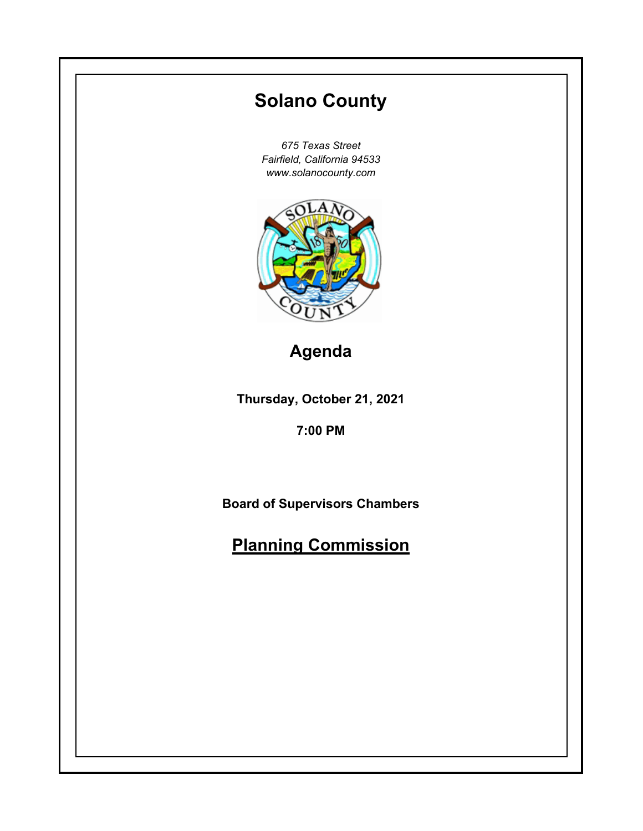# **Thursday, October 21, 2021 7:00 PM Solano County** *675 Texas Street Fairfield, California 94533 www.solanocounty.com* **Board of Supervisors Chambers Planning Commission Agenda**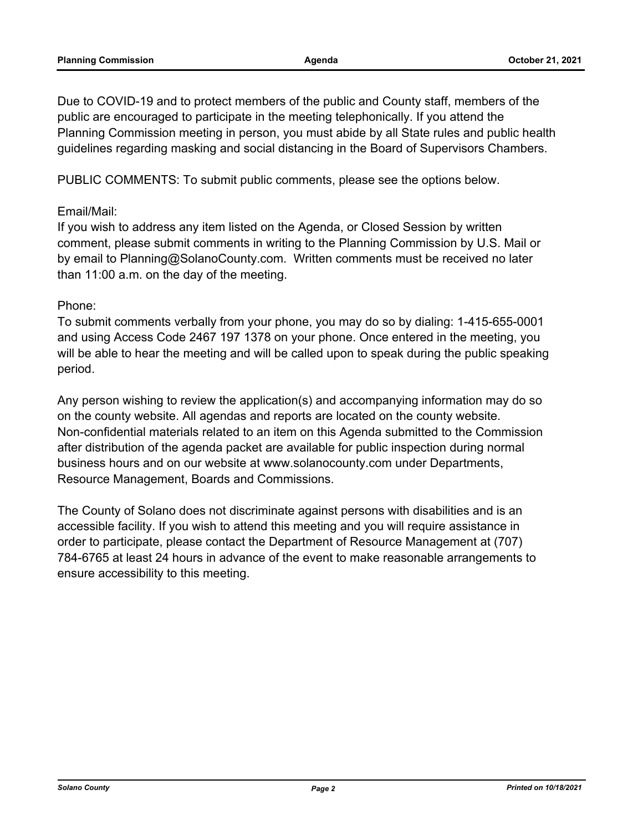Due to COVID-19 and to protect members of the public and County staff, members of the public are encouraged to participate in the meeting telephonically. If you attend the Planning Commission meeting in person, you must abide by all State rules and public health guidelines regarding masking and social distancing in the Board of Supervisors Chambers.

PUBLIC COMMENTS: To submit public comments, please see the options below.

## Email/Mail:

If you wish to address any item listed on the Agenda, or Closed Session by written comment, please submit comments in writing to the Planning Commission by U.S. Mail or by email to Planning@SolanoCounty.com. Written comments must be received no later than 11:00 a.m. on the day of the meeting.

## Phone:

To submit comments verbally from your phone, you may do so by dialing: 1-415-655-0001 and using Access Code 2467 197 1378 on your phone. Once entered in the meeting, you will be able to hear the meeting and will be called upon to speak during the public speaking period.

Any person wishing to review the application(s) and accompanying information may do so on the county website. All agendas and reports are located on the county website. Non-confidential materials related to an item on this Agenda submitted to the Commission after distribution of the agenda packet are available for public inspection during normal business hours and on our website at www.solanocounty.com under Departments, Resource Management, Boards and Commissions.

The County of Solano does not discriminate against persons with disabilities and is an accessible facility. If you wish to attend this meeting and you will require assistance in order to participate, please contact the Department of Resource Management at (707) 784-6765 at least 24 hours in advance of the event to make reasonable arrangements to ensure accessibility to this meeting.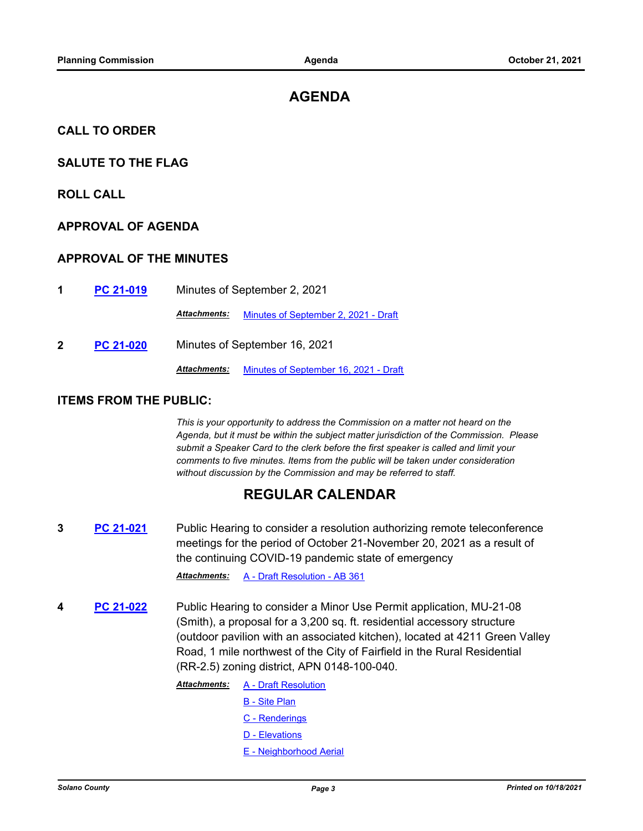# **AGENDA**

#### **CALL TO ORDER**

#### **SALUTE TO THE FLAG**

#### **ROLL CALL**

#### **APPROVAL OF AGENDA**

#### **APPROVAL OF THE MINUTES**

**1 [PC 21-019](http://solano.legistar.com/gateway.aspx?m=l&id=/matter.aspx?key=16332)** Minutes of September 2, 2021

*Attachments:* [Minutes of September 2, 2021 - Draft](http://solano.legistar.com/gateway.aspx?M=F&ID=5f789c1c-6e59-4525-925b-39783b6cd982.pdf)

**2 [PC 21-020](http://solano.legistar.com/gateway.aspx?m=l&id=/matter.aspx?key=16333)** Minutes of September 16, 2021

*Attachments:* [Minutes of September 16, 2021 - Draft](http://solano.legistar.com/gateway.aspx?M=F&ID=ba929568-a5f0-427c-9f79-def41a9d3dab.pdf)

#### **ITEMS FROM THE PUBLIC:**

*This is your opportunity to address the Commission on a matter not heard on the Agenda, but it must be within the subject matter jurisdiction of the Commission. Please submit a Speaker Card to the clerk before the first speaker is called and limit your comments to five minutes. Items from the public will be taken under consideration without discussion by the Commission and may be referred to staff.*

# **REGULAR CALENDAR**

**3 [PC 21-021](http://solano.legistar.com/gateway.aspx?m=l&id=/matter.aspx?key=16348)** Public Hearing to consider a resolution authorizing remote teleconference meetings for the period of October 21-November 20, 2021 as a result of the continuing COVID-19 pandemic state of emergency

*Attachments:* [A - Draft Resolution - AB 361](http://solano.legistar.com/gateway.aspx?M=F&ID=718761a4-5f71-46a3-bf28-1feb0ff02f2e.pdf)

**4 [PC 21-022](http://solano.legistar.com/gateway.aspx?m=l&id=/matter.aspx?key=16349)** Public Hearing to consider a Minor Use Permit application, MU-21-08 (Smith), a proposal for a 3,200 sq. ft. residential accessory structure (outdoor pavilion with an associated kitchen), located at 4211 Green Valley Road, 1 mile northwest of the City of Fairfield in the Rural Residential (RR-2.5) zoning district, APN 0148-100-040.

> [A - Draft Resolution](http://solano.legistar.com/gateway.aspx?M=F&ID=90198ba2-1928-482d-a417-fa066e3bb475.pdf) [B - Site Plan](http://solano.legistar.com/gateway.aspx?M=F&ID=89a9b108-0396-4b45-baec-acc7f8debee0.pdf) [C - Renderings](http://solano.legistar.com/gateway.aspx?M=F&ID=d43b4bcd-75f7-4af4-9edf-764f28d289f4.pdf) [D - Elevations](http://solano.legistar.com/gateway.aspx?M=F&ID=3ef77c1d-8461-41ce-b59e-61562c88c525.pdf) [E - Neighborhood Aerial](http://solano.legistar.com/gateway.aspx?M=F&ID=ca7303ec-dbff-4fec-b14a-7523e1b8cf71.pdf) *Attachments:*